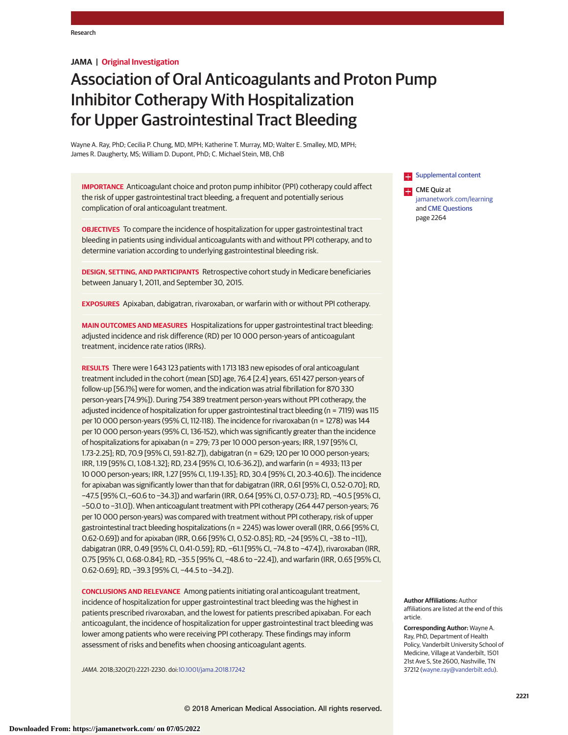## **JAMA | Original Investigation**

# Association of Oral Anticoagulants and Proton Pump Inhibitor Cotherapy With Hospitalization for Upper Gastrointestinal Tract Bleeding

Wayne A. Ray, PhD; Cecilia P. Chung, MD, MPH; Katherine T. Murray, MD; Walter E. Smalley, MD, MPH; James R. Daugherty, MS; William D. Dupont, PhD; C. Michael Stein, MB, ChB

**IMPORTANCE** Anticoagulant choice and proton pump inhibitor (PPI) cotherapy could affect the risk of upper gastrointestinal tract bleeding, a frequent and potentially serious complication of oral anticoagulant treatment.

**OBJECTIVES** To compare the incidence of hospitalization for upper gastrointestinal tract bleeding in patients using individual anticoagulants with and without PPI cotherapy, and to determine variation according to underlying gastrointestinal bleeding risk.

**DESIGN, SETTING, AND PARTICIPANTS** Retrospective cohort study in Medicare beneficiaries between January 1, 2011, and September 30, 2015.

**EXPOSURES** Apixaban, dabigatran, rivaroxaban, or warfarin with or without PPI cotherapy.

**MAIN OUTCOMES AND MEASURES** Hospitalizations for upper gastrointestinal tract bleeding: adjusted incidence and risk difference (RD) per 10 000 person-years of anticoagulant treatment, incidence rate ratios (IRRs).

**RESULTS** There were 1 643 123 patients with 1 713 183 new episodes of oral anticoagulant treatment included in the cohort (mean [SD] age, 76.4 [2.4] years, 651 427 person-years of follow-up [56.1%] were for women, and the indication was atrial fibrillation for 870 330 person-years [74.9%]). During 754 389 treatment person-years without PPI cotherapy, the adjusted incidence of hospitalization for upper gastrointestinal tract bleeding (n = 7119) was 115 per 10 000 person-years (95% CI, 112-118). The incidence for rivaroxaban (n = 1278) was 144 per 10 000 person-years (95% CI, 136-152), which was significantly greater than the incidence of hospitalizations for apixaban (n = 279; 73 per 10 000 person-years; IRR, 1.97 [95% CI, 1.73-2.25]; RD, 70.9 [95% CI, 59.1-82.7]), dabigatran (n = 629; 120 per 10 000 person-years; IRR, 1.19 [95% CI, 1.08-1.32]; RD, 23.4 [95% CI, 10.6-36.2]), and warfarin (n = 4933; 113 per 10 000 person-years; IRR, 1.27 [95% CI, 1.19-1.35]; RD, 30.4 [95% CI, 20.3-40.6]). The incidence for apixaban was significantly lower than that for dabigatran (IRR, 0.61 [95% CI, 0.52-0.70]; RD, −47.5 [95% CI,−60.6 to −34.3]) and warfarin (IRR, 0.64 [95% CI, 0.57-0.73]; RD, −40.5 [95% CI, −50.0 to −31.0]). When anticoagulant treatment with PPI cotherapy (264 447 person-years; 76 per 10 000 person-years) was compared with treatment without PPI cotherapy, risk of upper gastrointestinal tract bleeding hospitalizations (n = 2245) was lower overall (IRR, 0.66 [95% CI, 0.62-0.69]) and for apixaban (IRR, 0.66 [95% CI, 0.52-0.85]; RD, −24 [95% CI, −38 to −11]), dabigatran (IRR, 0.49 [95% CI, 0.41-0.59]; RD, −61.1 [95% CI, −74.8 to −47.4]), rivaroxaban (IRR, 0.75 [95% CI, 0.68-0.84]; RD, −35.5 [95% CI, −48.6 to −22.4]), and warfarin (IRR, 0.65 [95% CI, 0.62-0.69]; RD, −39.3 [95% CI, −44.5 to −34.2]).

**CONCLUSIONS AND RELEVANCE** Among patients initiating oral anticoagulant treatment, incidence of hospitalization for upper gastrointestinal tract bleeding was the highest in patients prescribed rivaroxaban, and the lowest for patients prescribed apixaban. For each anticoagulant, the incidence of hospitalization for upper gastrointestinal tract bleeding was lower among patients who were receiving PPI cotherapy. These findings may inform assessment of risks and benefits when choosing anticoagulant agents.

JAMA. 2018;320(21):2221-2230. doi[:10.1001/jama.2018.17242](https://jama.jamanetwork.com/article.aspx?doi=10.1001/jama.2018.17242&utm_campaign=articlePDF%26utm_medium=articlePDFlink%26utm_source=articlePDF%26utm_content=jama.2018.17242)

**Examplemental content CME** Quiz at

> [jamanetwork.com/learning](https://jama.jamanetwork.com/learning/article-quiz/10.1001/jama.2018.17242/?utm_campaign=articlePDF%26utm_medium=articlePDFlink%26utm_source=articlePDF%26utm_content=jama.2018.17242) and [CME Questions](https://jama.jamanetwork.com/learning/article-quiz/10.1001/jama.2018.17242/?utm_campaign=articlePDF%26utm_medium=articlePDFlink%26utm_source=articlePDF%26utm_content=jama.2018.17242) page 2264

**Author Affiliations:** Author affiliations are listed at the end of this article.

**Corresponding Author:** Wayne A. Ray, PhD, Department of Health Policy, Vanderbilt University School of Medicine, Village at Vanderbilt, 1501 21st Ave S, Ste 2600, Nashville, TN 37212 [\(wayne.ray@vanderbilt.edu\)](mailto:wayne.ray@vanderbilt.edu).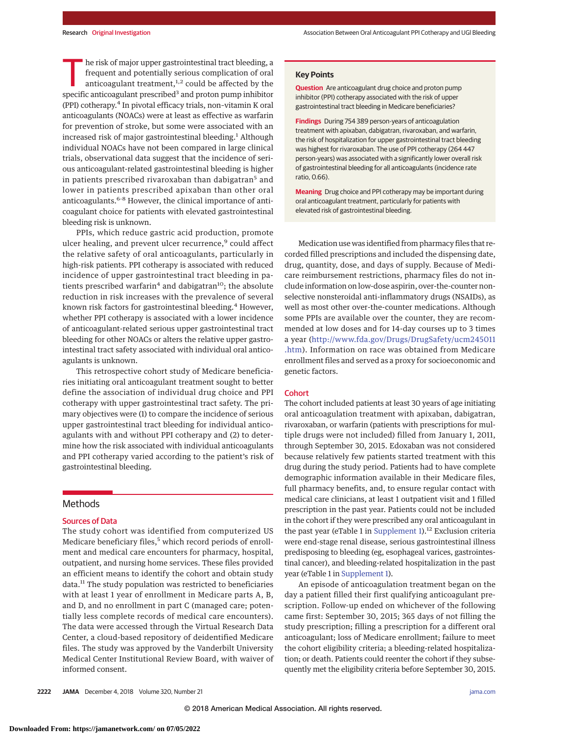The risk of major upper gastrointestinal tract bleeding, a frequent and potentially serious complication of oral anticoagulant treatment,<sup>1,2</sup> could be affected by the specific anticoagulant prescribed<sup>3</sup> and proton pump i frequent and potentially serious complication of oral anticoagulant treatment, $1,2$  could be affected by the specific anticoagulant prescribed<sup>3</sup> and proton pump inhibitor (PPI) cotherapy. $4$  In pivotal efficacy trials, non-vitamin K oral anticoagulants (NOACs) were at least as effective as warfarin for prevention of stroke, but some were associated with an increased risk of major gastrointestinal bleeding.<sup>1</sup> Although individual NOACs have not been compared in large clinical trials, observational data suggest that the incidence of serious anticoagulant-related gastrointestinal bleeding is higher in patients prescribed rivaroxaban than dabigatran<sup>5</sup> and lower in patients prescribed apixaban than other oral anticoagulants.6-8 However, the clinical importance of anticoagulant choice for patients with elevated gastrointestinal bleeding risk is unknown.

PPIs, which reduce gastric acid production, promote ulcer healing, and prevent ulcer recurrence,<sup>9</sup> could affect the relative safety of oral anticoagulants, particularly in high-risk patients. PPI cotherapy is associated with reduced incidence of upper gastrointestinal tract bleeding in patients prescribed warfarin<sup>4</sup> and dabigatran<sup>10</sup>; the absolute reduction in risk increases with the prevalence of several known risk factors for gastrointestinal bleeding.<sup>4</sup> However, whether PPI cotherapy is associated with a lower incidence of anticoagulant-related serious upper gastrointestinal tract bleeding for other NOACs or alters the relative upper gastrointestinal tract safety associated with individual oral anticoagulants is unknown.

This retrospective cohort study of Medicare beneficiaries initiating oral anticoagulant treatment sought to better define the association of individual drug choice and PPI cotherapy with upper gastrointestinal tract safety. The primary objectives were (1) to compare the incidence of serious upper gastrointestinal tract bleeding for individual anticoagulants with and without PPI cotherapy and (2) to determine how the risk associated with individual anticoagulants and PPI cotherapy varied according to the patient's risk of gastrointestinal bleeding.

## **Methods**

## Sources of Data

The study cohort was identified from computerized US Medicare beneficiary files,<sup>5</sup> which record periods of enrollment and medical care encounters for pharmacy, hospital, outpatient, and nursing home services. These files provided an efficient means to identify the cohort and obtain study data.<sup>11</sup> The study population was restricted to beneficiaries with at least 1 year of enrollment in Medicare parts A, B, and D, and no enrollment in part C (managed care; potentially less complete records of medical care encounters). The data were accessed through the Virtual Research Data Center, a cloud-based repository of deidentified Medicare files. The study was approved by the Vanderbilt University Medical Center Institutional Review Board, with waiver of informed consent.

**Question** Are anticoagulant drug choice and proton pump inhibitor (PPI) cotherapy associated with the risk of upper gastrointestinal tract bleeding in Medicare beneficiaries?

**Findings** During 754 389 person-years of anticoagulation treatment with apixaban, dabigatran, rivaroxaban, and warfarin, the risk of hospitalization for upper gastrointestinal tract bleeding was highest for rivaroxaban. The use of PPI cotherapy (264 447 person-years) was associated with a significantly lower overall risk of gastrointestinal bleeding for all anticoagulants (incidence rate ratio, 0.66).

**Meaning** Drug choice and PPI cotherapy may be important during oral anticoagulant treatment, particularly for patients with elevated risk of gastrointestinal bleeding.

Medication use was identified from pharmacy files that recorded filled prescriptions and included the dispensing date, drug, quantity, dose, and days of supply. Because of Medicare reimbursement restrictions, pharmacy files do not include information on low-dose aspirin, over-the-counter nonselective nonsteroidal anti-inflammatory drugs (NSAIDs), as well as most other over-the-counter medications. Although some PPIs are available over the counter, they are recommended at low doses and for 14-day courses up to 3 times a year [\(http://www.fda.gov/Drugs/DrugSafety/ucm245011](http://www.fda.gov/Drugs/DrugSafety/ucm245011.htm) [.htm\)](http://www.fda.gov/Drugs/DrugSafety/ucm245011.htm). Information on race was obtained from Medicare enrollment files and served as a proxy for socioeconomic and genetic factors.

#### **Cohort**

The cohort included patients at least 30 years of age initiating oral anticoagulation treatment with apixaban, dabigatran, rivaroxaban, or warfarin (patients with prescriptions for multiple drugs were not included) filled from January 1, 2011, through September 30, 2015. Edoxaban was not considered because relatively few patients started treatment with this drug during the study period. Patients had to have complete demographic information available in their Medicare files, full pharmacy benefits, and, to ensure regular contact with medical care clinicians, at least 1 outpatient visit and 1 filled prescription in the past year. Patients could not be included in the cohort if they were prescribed any oral anticoagulant in the past year (eTable 1 in [Supplement 1\)](https://jama.jamanetwork.com/article.aspx?doi=10.1001/jama.2018.17242&utm_campaign=articlePDF%26utm_medium=articlePDFlink%26utm_source=articlePDF%26utm_content=jama.2018.17242).<sup>12</sup> Exclusion criteria were end-stage renal disease, serious gastrointestinal illness predisposing to bleeding (eg, esophageal varices, gastrointestinal cancer), and bleeding-related hospitalization in the past year (eTable 1 in [Supplement 1\)](https://jama.jamanetwork.com/article.aspx?doi=10.1001/jama.2018.17242&utm_campaign=articlePDF%26utm_medium=articlePDFlink%26utm_source=articlePDF%26utm_content=jama.2018.17242).

An episode of anticoagulation treatment began on the day a patient filled their first qualifying anticoagulant prescription. Follow-up ended on whichever of the following came first: September 30, 2015; 365 days of not filling the study prescription; filling a prescription for a different oral anticoagulant; loss of Medicare enrollment; failure to meet the cohort eligibility criteria; a bleeding-related hospitalization; or death. Patients could reenter the cohort if they subsequently met the eligibility criteria before September 30, 2015.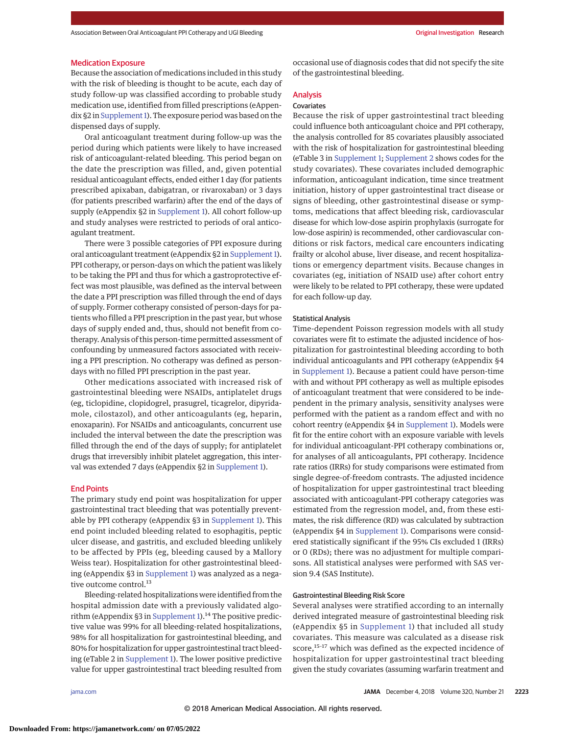## Medication Exposure

Because the association of medications included in this study with the risk of bleeding is thought to be acute, each day of study follow-up was classified according to probable study medication use, identified from filled prescriptions (eAppen-dix §2 in [Supplement 1\)](https://jama.jamanetwork.com/article.aspx?doi=10.1001/jama.2018.17242&utm_campaign=articlePDF%26utm_medium=articlePDFlink%26utm_source=articlePDF%26utm_content=jama.2018.17242). The exposure period was based on the dispensed days of supply.

Oral anticoagulant treatment during follow-up was the period during which patients were likely to have increased risk of anticoagulant-related bleeding. This period began on the date the prescription was filled, and, given potential residual anticoagulant effects, ended either 1 day (for patients prescribed apixaban, dabigatran, or rivaroxaban) or 3 days (for patients prescribed warfarin) after the end of the days of supply (eAppendix §2 in [Supplement 1\)](https://jama.jamanetwork.com/article.aspx?doi=10.1001/jama.2018.17242&utm_campaign=articlePDF%26utm_medium=articlePDFlink%26utm_source=articlePDF%26utm_content=jama.2018.17242). All cohort follow-up and study analyses were restricted to periods of oral anticoagulant treatment.

There were 3 possible categories of PPI exposure during oral anticoagulant treatment (eAppendix §2 in [Supplement 1\)](https://jama.jamanetwork.com/article.aspx?doi=10.1001/jama.2018.17242&utm_campaign=articlePDF%26utm_medium=articlePDFlink%26utm_source=articlePDF%26utm_content=jama.2018.17242). PPI cotherapy, or person-days on which the patient was likely to be taking the PPI and thus for which a gastroprotective effect was most plausible, was defined as the interval between the date a PPI prescription was filled through the end of days of supply. Former cotherapy consisted of person-days for patients who filled a PPI prescription in the past year, but whose days of supply ended and, thus, should not benefit from cotherapy. Analysis of this person-time permitted assessment of confounding by unmeasured factors associated with receiving a PPI prescription. No cotherapy was defined as persondays with no filled PPI prescription in the past year.

Other medications associated with increased risk of gastrointestinal bleeding were NSAIDs, antiplatelet drugs (eg, ticlopidine, clopidogrel, prasugrel, ticagrelor, dipyridamole, cilostazol), and other anticoagulants (eg, heparin, enoxaparin). For NSAIDs and anticoagulants, concurrent use included the interval between the date the prescription was filled through the end of the days of supply; for antiplatelet drugs that irreversibly inhibit platelet aggregation, this interval was extended 7 days (eAppendix §2 in [Supplement 1\)](https://jama.jamanetwork.com/article.aspx?doi=10.1001/jama.2018.17242&utm_campaign=articlePDF%26utm_medium=articlePDFlink%26utm_source=articlePDF%26utm_content=jama.2018.17242).

#### End Points

The primary study end point was hospitalization for upper gastrointestinal tract bleeding that was potentially preventable by PPI cotherapy (eAppendix §3 in [Supplement 1\)](https://jama.jamanetwork.com/article.aspx?doi=10.1001/jama.2018.17242&utm_campaign=articlePDF%26utm_medium=articlePDFlink%26utm_source=articlePDF%26utm_content=jama.2018.17242). This end point included bleeding related to esophagitis, peptic ulcer disease, and gastritis, and excluded bleeding unlikely to be affected by PPIs (eg, bleeding caused by a Mallory Weiss tear). Hospitalization for other gastrointestinal bleeding (eAppendix §3 in [Supplement 1\)](https://jama.jamanetwork.com/article.aspx?doi=10.1001/jama.2018.17242&utm_campaign=articlePDF%26utm_medium=articlePDFlink%26utm_source=articlePDF%26utm_content=jama.2018.17242) was analyzed as a negative outcome control.<sup>13</sup>

Bleeding-related hospitalizations were identified from the hospital admission date with a previously validated algo-rithm (eAppendix §3 in [Supplement 1\)](https://jama.jamanetwork.com/article.aspx?doi=10.1001/jama.2018.17242&utm_campaign=articlePDF%26utm_medium=articlePDFlink%26utm_source=articlePDF%26utm_content=jama.2018.17242).<sup>14</sup> The positive predictive value was 99% for all bleeding-related hospitalizations, 98% for all hospitalization for gastrointestinal bleeding, and 80% for hospitalization for upper gastrointestinal tract bleeding (eTable 2 in [Supplement 1\)](https://jama.jamanetwork.com/article.aspx?doi=10.1001/jama.2018.17242&utm_campaign=articlePDF%26utm_medium=articlePDFlink%26utm_source=articlePDF%26utm_content=jama.2018.17242). The lower positive predictive value for upper gastrointestinal tract bleeding resulted from occasional use of diagnosis codes that did not specify the site of the gastrointestinal bleeding.

# Analysis

# Covariates

Because the risk of upper gastrointestinal tract bleeding could influence both anticoagulant choice and PPI cotherapy, the analysis controlled for 85 covariates plausibly associated with the risk of hospitalization for gastrointestinal bleeding (eTable 3 in [Supplement 1;](https://jama.jamanetwork.com/article.aspx?doi=10.1001/jama.2018.17242&utm_campaign=articlePDF%26utm_medium=articlePDFlink%26utm_source=articlePDF%26utm_content=jama.2018.17242) [Supplement 2](https://jama.jamanetwork.com/article.aspx?doi=10.1001/jama.2018.17242&utm_campaign=articlePDF%26utm_medium=articlePDFlink%26utm_source=articlePDF%26utm_content=jama.2018.17242) shows codes for the study covariates). These covariates included demographic information, anticoagulant indication, time since treatment initiation, history of upper gastrointestinal tract disease or signs of bleeding, other gastrointestinal disease or symptoms, medications that affect bleeding risk, cardiovascular disease for which low-dose aspirin prophylaxis (surrogate for low-dose aspirin) is recommended, other cardiovascular conditions or risk factors, medical care encounters indicating frailty or alcohol abuse, liver disease, and recent hospitalizations or emergency department visits. Because changes in covariates (eg, initiation of NSAID use) after cohort entry were likely to be related to PPI cotherapy, these were updated for each follow-up day.

## Statistical Analysis

Time-dependent Poisson regression models with all study covariates were fit to estimate the adjusted incidence of hospitalization for gastrointestinal bleeding according to both individual anticoagulants and PPI cotherapy (eAppendix §4 in [Supplement 1\)](https://jama.jamanetwork.com/article.aspx?doi=10.1001/jama.2018.17242&utm_campaign=articlePDF%26utm_medium=articlePDFlink%26utm_source=articlePDF%26utm_content=jama.2018.17242). Because a patient could have person-time with and without PPI cotherapy as well as multiple episodes of anticoagulant treatment that were considered to be independent in the primary analysis, sensitivity analyses were performed with the patient as a random effect and with no cohort reentry (eAppendix §4 in [Supplement 1\)](https://jama.jamanetwork.com/article.aspx?doi=10.1001/jama.2018.17242&utm_campaign=articlePDF%26utm_medium=articlePDFlink%26utm_source=articlePDF%26utm_content=jama.2018.17242). Models were fit for the entire cohort with an exposure variable with levels for individual anticoagulant-PPI cotherapy combinations or, for analyses of all anticoagulants, PPI cotherapy. Incidence rate ratios (IRRs) for study comparisons were estimated from single degree-of-freedom contrasts. The adjusted incidence of hospitalization for upper gastrointestinal tract bleeding associated with anticoagulant-PPI cotherapy categories was estimated from the regression model, and, from these estimates, the risk difference (RD) was calculated by subtraction (eAppendix §4 in [Supplement 1\)](https://jama.jamanetwork.com/article.aspx?doi=10.1001/jama.2018.17242&utm_campaign=articlePDF%26utm_medium=articlePDFlink%26utm_source=articlePDF%26utm_content=jama.2018.17242). Comparisons were considered statistically significant if the 95% CIs excluded 1 (IRRs) or 0 (RDs); there was no adjustment for multiple comparisons. All statistical analyses were performed with SAS version 9.4 (SAS Institute).

## Gastrointestinal Bleeding Risk Score

Several analyses were stratified according to an internally derived integrated measure of gastrointestinal bleeding risk (eAppendix §5 in [Supplement 1\)](https://jama.jamanetwork.com/article.aspx?doi=10.1001/jama.2018.17242&utm_campaign=articlePDF%26utm_medium=articlePDFlink%26utm_source=articlePDF%26utm_content=jama.2018.17242) that included all study covariates. This measure was calculated as a disease risk score,<sup>15-17</sup> which was defined as the expected incidence of hospitalization for upper gastrointestinal tract bleeding given the study covariates (assuming warfarin treatment and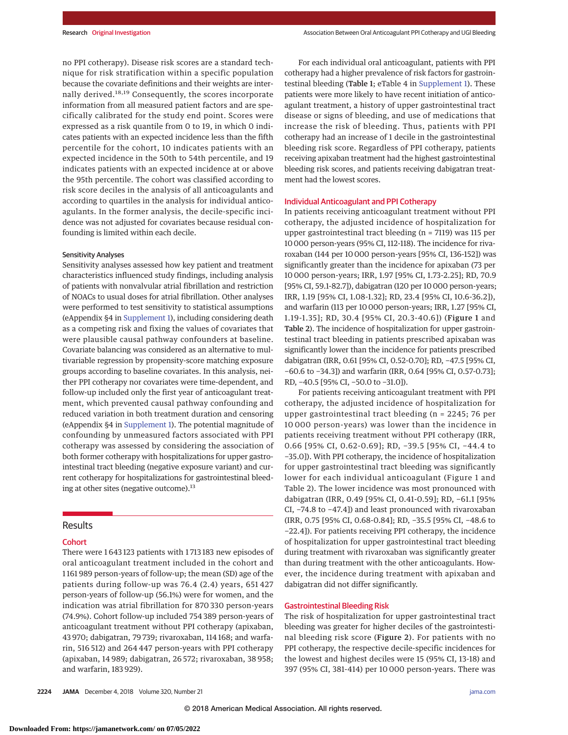no PPI cotherapy). Disease risk scores are a standard technique for risk stratification within a specific population because the covariate definitions and their weights are internally derived.<sup>18,19</sup> Consequently, the scores incorporate information from all measured patient factors and are specifically calibrated for the study end point. Scores were expressed as a risk quantile from 0 to 19, in which 0 indicates patients with an expected incidence less than the fifth percentile for the cohort, 10 indicates patients with an expected incidence in the 50th to 54th percentile, and 19 indicates patients with an expected incidence at or above the 95th percentile. The cohort was classified according to risk score deciles in the analysis of all anticoagulants and according to quartiles in the analysis for individual anticoagulants. In the former analysis, the decile-specific incidence was not adjusted for covariates because residual confounding is limited within each decile.

## Sensitivity Analyses

Sensitivity analyses assessed how key patient and treatment characteristics influenced study findings, including analysis of patients with nonvalvular atrial fibrillation and restriction of NOACs to usual doses for atrial fibrillation. Other analyses were performed to test sensitivity to statistical assumptions (eAppendix §4 in [Supplement 1\)](https://jama.jamanetwork.com/article.aspx?doi=10.1001/jama.2018.17242&utm_campaign=articlePDF%26utm_medium=articlePDFlink%26utm_source=articlePDF%26utm_content=jama.2018.17242), including considering death as a competing risk and fixing the values of covariates that were plausible causal pathway confounders at baseline. Covariate balancing was considered as an alternative to multivariable regression by propensity-score matching exposure groups according to baseline covariates. In this analysis, neither PPI cotherapy nor covariates were time-dependent, and follow-up included only the first year of anticoagulant treatment, which prevented causal pathway confounding and reduced variation in both treatment duration and censoring (eAppendix §4 in [Supplement 1\)](https://jama.jamanetwork.com/article.aspx?doi=10.1001/jama.2018.17242&utm_campaign=articlePDF%26utm_medium=articlePDFlink%26utm_source=articlePDF%26utm_content=jama.2018.17242). The potential magnitude of confounding by unmeasured factors associated with PPI cotherapy was assessed by considering the association of both former cotherapy with hospitalizations for upper gastrointestinal tract bleeding (negative exposure variant) and current cotherapy for hospitalizations for gastrointestinal bleeding at other sites (negative outcome).<sup>13</sup>

## **Results**

## **Cohort**

There were 1 643 123 patients with 1 713 183 new episodes of oral anticoagulant treatment included in the cohort and 1 161 989 person-years of follow-up; the mean (SD) age of the patients during follow-up was 76.4 (2.4) years, 651 427 person-years of follow-up (56.1%) were for women, and the indication was atrial fibrillation for 870 330 person-years (74.9%). Cohort follow-up included 754 389 person-years of anticoagulant treatment without PPI cotherapy (apixaban, 43 970; dabigatran, 79 739; rivaroxaban, 114 168; and warfarin, 516 512) and 264 447 person-years with PPI cotherapy (apixaban, 14 989; dabigatran, 26 572; rivaroxaban, 38 958; and warfarin, 183 929).

For each individual oral anticoagulant, patients with PPI cotherapy had a higher prevalence of risk factors for gastrointestinal bleeding (Table 1; eTable 4 in [Supplement 1\)](https://jama.jamanetwork.com/article.aspx?doi=10.1001/jama.2018.17242&utm_campaign=articlePDF%26utm_medium=articlePDFlink%26utm_source=articlePDF%26utm_content=jama.2018.17242). These patients were more likely to have recent initiation of anticoagulant treatment, a history of upper gastrointestinal tract disease or signs of bleeding, and use of medications that increase the risk of bleeding. Thus, patients with PPI cotherapy had an increase of 1 decile in the gastrointestinal bleeding risk score. Regardless of PPI cotherapy, patients receiving apixaban treatment had the highest gastrointestinal bleeding risk scores, and patients receiving dabigatran treatment had the lowest scores.

## Individual Anticoagulant and PPI Cotherapy

In patients receiving anticoagulant treatment without PPI cotherapy, the adjusted incidence of hospitalization for upper gastrointestinal tract bleeding (n = 7119) was 115 per 10 000 person-years (95% CI, 112-118). The incidence for rivaroxaban (144 per 10 000 person-years [95% CI, 136-152]) was significantly greater than the incidence for apixaban (73 per 10 000 person-years; IRR, 1.97 [95% CI, 1.73-2.25]; RD, 70.9 [95% CI, 59.1-82.7]), dabigatran (120 per 10 000 person-years; IRR, 1.19 [95% CI, 1.08-1.32]; RD, 23.4 [95% CI, 10.6-36.2]), and warfarin (113 per 10 000 person-years; IRR, 1.27 [95% CI, 1.19-1.35]; RD, 30.4 [95% CI, 20.3-40.6]) (Figure 1 and Table 2). The incidence of hospitalization for upper gastrointestinal tract bleeding in patients prescribed apixaban was significantly lower than the incidence for patients prescribed dabigatran (IRR, 0.61 [95% CI, 0.52-0.70]; RD, −47.5 [95% CI, −60.6 to −34.3]) and warfarin (IRR, 0.64 [95% CI, 0.57-0.73]; RD, −40.5 [95% CI, −50.0 to −31.0]).

For patients receiving anticoagulant treatment with PPI cotherapy, the adjusted incidence of hospitalization for upper gastrointestinal tract bleeding (n = 2245; 76 per 10 000 person-years) was lower than the incidence in patients receiving treatment without PPI cotherapy (IRR, 0.66 [95% CI, 0.62-0.69]; RD, −39.5 [95% CI, −44.4 to −35.0]). With PPI cotherapy, the incidence of hospitalization for upper gastrointestinal tract bleeding was significantly lower for each individual anticoagulant (Figure 1 and Table 2). The lower incidence was most pronounced with dabigatran (IRR, 0.49 [95% CI, 0.41-0.59]; RD, −61.1 [95% CI, −74.8 to −47.4]) and least pronounced with rivaroxaban (IRR, 0.75 [95% CI, 0.68-0.84]; RD, −35.5 [95% CI, −48.6 to −22.4]). For patients receiving PPI cotherapy, the incidence of hospitalization for upper gastrointestinal tract bleeding during treatment with rivaroxaban was significantly greater than during treatment with the other anticoagulants. However, the incidence during treatment with apixaban and dabigatran did not differ significantly.

## Gastrointestinal Bleeding Risk

The risk of hospitalization for upper gastrointestinal tract bleeding was greater for higher deciles of the gastrointestinal bleeding risk score (Figure 2). For patients with no PPI cotherapy, the respective decile-specific incidences for the lowest and highest deciles were 15 (95% CI, 13-18) and 397 (95% CI, 381-414) per 10 000 person-years. There was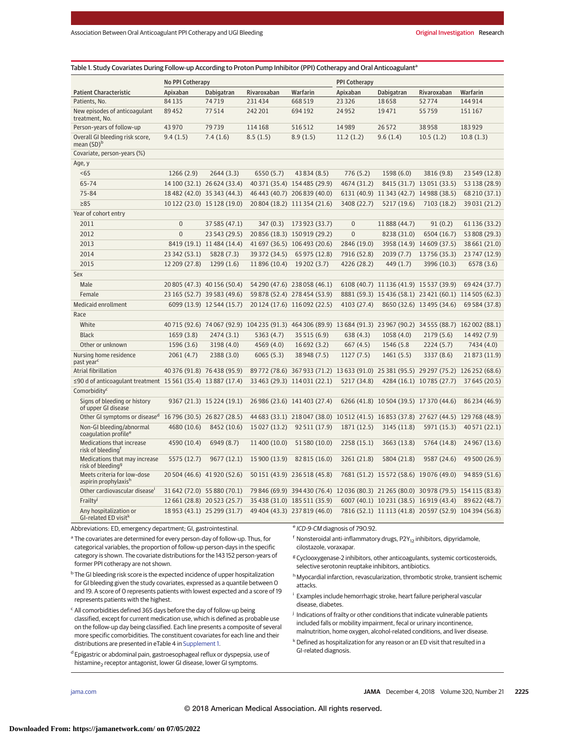|                                                                       | No PPI Cotherapy |                             |               |                                                                                                                    | <b>PPI Cotherapy</b> |                                         |                           |                                                        |  |
|-----------------------------------------------------------------------|------------------|-----------------------------|---------------|--------------------------------------------------------------------------------------------------------------------|----------------------|-----------------------------------------|---------------------------|--------------------------------------------------------|--|
| <b>Patient Characteristic</b>                                         | Apixaban         | Dabigatran                  | Rivaroxaban   | Warfarin                                                                                                           | Apixaban             | Dabigatran                              | Rivaroxaban               | Warfarin                                               |  |
| Patients, No.                                                         | 84135            | 74719                       | 231434        | 668 519                                                                                                            | 23326                | 18658                                   | 52774                     | 144914                                                 |  |
| New episodes of anticoagulant<br>treatment, No.                       | 89452            | 77514                       | 242 201       | 694 192                                                                                                            | 24952                | 19471                                   | 55759                     | 151167                                                 |  |
| Person-years of follow-up                                             | 43 970           | 79739                       | 114 168       | 516512                                                                                                             | 14989                | 26 5 72                                 | 38958                     | 183929                                                 |  |
| Overall GI bleeding risk score,<br>mean $(SD)^b$                      | 9.4(1.5)         | 7.4(1.6)                    | 8.5(1.5)      | 8.9(1.5)                                                                                                           | 11.2(1.2)            | 9.6(1.4)                                | 10.5(1.2)                 | 10.8(1.3)                                              |  |
| Covariate, person-years (%)                                           |                  |                             |               |                                                                                                                    |                      |                                         |                           |                                                        |  |
| Age, y                                                                |                  |                             |               |                                                                                                                    |                      |                                         |                           |                                                        |  |
| < 65                                                                  | 1266(2.9)        | 2644(3.3)                   | 6550 (5.7)    | 43 834 (8.5)                                                                                                       | 776(5.2)             | 1598 (6.0)                              | 3816 (9.8)                | 23 549 (12.8)                                          |  |
| $65 - 74$                                                             |                  | 14 100 (32.1) 26 624 (33.4) |               | 40 371 (35.4) 154 485 (29.9)                                                                                       | 4674 (31.2)          |                                         | 8415 (31.7) 13 051 (33.5) | 53 138 (28.9)                                          |  |
| $75 - 84$                                                             |                  | 18 482 (42.0) 35 343 (44.3) |               | 46 443 (40.7) 206 839 (40.0)                                                                                       |                      | 6131 (40.9) 11 343 (42.7) 14 988 (38.5) |                           | 68 210 (37.1)                                          |  |
| $\geq 85$                                                             |                  | 10 122 (23.0) 15 128 (19.0) |               | 20 804 (18.2) 111 354 (21.6)                                                                                       | 3408 (22.7)          | 5217 (19.6)                             | 7103 (18.2)               | 39 031 (21.2)                                          |  |
| Year of cohort entry                                                  |                  |                             |               |                                                                                                                    |                      |                                         |                           |                                                        |  |
| 2011                                                                  | $\mathbf{0}$     | 37 585 (47.1)               | 347(0.3)      | 173 923 (33.7)                                                                                                     | 0                    | 11888 (44.7)                            | 91(0.2)                   | 61 136 (33.2)                                          |  |
| 2012                                                                  | $\mathbf{0}$     | 23 543 (29.5)               |               | 20 856 (18.3) 150 919 (29.2)                                                                                       | $\overline{0}$       | 8238 (31.0)                             | 6504 (16.7)               | 53 808 (29.3)                                          |  |
| 2013                                                                  |                  | 8419 (19.1) 11 484 (14.4)   |               | 41 697 (36.5) 106 493 (20.6)                                                                                       | 2846 (19.0)          |                                         | 3958 (14.9) 14 609 (37.5) | 38 661 (21.0)                                          |  |
| 2014                                                                  | 23 342 (53.1)    | 5828 (7.3)                  | 39 372 (34.5) | 65 975 (12.8)                                                                                                      | 7916 (52.8)          | 2039(7.7)                               | 13756 (35.3)              | 23 747 (12.9)                                          |  |
| 2015                                                                  | 12 209 (27.8)    | 1299(1.6)                   | 11 896 (10.4) | 19 202 (3.7)                                                                                                       | 4226 (28.2)          | 449 (1.7)                               | 3996 (10.3)               | 6578 (3.6)                                             |  |
| Sex                                                                   |                  |                             |               |                                                                                                                    |                      |                                         |                           |                                                        |  |
| Male                                                                  |                  | 20 805 (47.3) 40 156 (50.4) |               | 54 290 (47.6) 238 058 (46.1)                                                                                       |                      | 6108 (40.7) 11 136 (41.9) 15 537 (39.9) |                           | 69424 (37.7)                                           |  |
| Female                                                                |                  | 23 165 (52.7) 39 583 (49.6) |               | 59 878 (52.4) 278 454 (53.9)                                                                                       |                      |                                         |                           | 8881 (59.3) 15 436 (58.1) 23 421 (60.1) 114 505 (62.3) |  |
| Medicaid enrollment                                                   |                  | 6099 (13.9) 12 544 (15.7)   |               | 20 124 (17.6) 116 092 (22.5)                                                                                       | 4103 (27.4)          |                                         | 8650 (32.6) 13 495 (34.6) | 69 584 (37.8)                                          |  |
| Race                                                                  |                  |                             |               |                                                                                                                    |                      |                                         |                           |                                                        |  |
| White                                                                 |                  |                             |               | 40 715 (92.6) 74 067 (92.9) 104 235 (91.3) 464 306 (89.9) 13 684 (91.3) 23 967 (90.2) 34 555 (88.7) 162 002 (88.1) |                      |                                         |                           |                                                        |  |
| <b>Black</b>                                                          | 1659(3.8)        | 2474(3.1)                   | 5363 (4.7)    | 35 515 (6.9)                                                                                                       | 638 (4.3)            | 1058 (4.0)                              | 2179(5.6)                 | 14 492 (7.9)                                           |  |
| Other or unknown                                                      | 1596 (3.6)       | 3198 (4.0)                  | 4569 (4.0)    | 16692(3.2)                                                                                                         | 667(4.5)             | 1546 (5.8)                              | 2224(5.7)                 | 7434 (4.0)                                             |  |
| Nursing home residence<br>past year <sup>c</sup>                      | 2061(4.7)        | 2388 (3.0)                  | 6065(5.3)     | 38 948 (7.5)                                                                                                       | 1127(7.5)            | 1461(5.5)                               | 3337 (8.6)                | 21873 (11.9)                                           |  |
| <b>Atrial fibrillation</b>                                            |                  | 40 376 (91.8) 76 438 (95.9) |               | 89 772 (78.6) 367 933 (71.2) 13 633 (91.0) 25 381 (95.5) 29 297 (75.2) 126 252 (68.6)                              |                      |                                         |                           |                                                        |  |
| ≤90 d of anticoagulant treatment 15 561 (35.4) 13 887 (17.4)          |                  |                             |               | 33 463 (29.3) 114 031 (22.1)                                                                                       | 5217 (34.8)          |                                         | 4284 (16.1) 10 785 (27.7) | 37 645 (20.5)                                          |  |
| Comorbidity <sup>c</sup>                                              |                  |                             |               |                                                                                                                    |                      |                                         |                           |                                                        |  |
| Signs of bleeding or history<br>of upper GI disease                   |                  | 9367 (21.3) 15 224 (19.1)   |               | 26 986 (23.6) 141 403 (27.4)                                                                                       |                      | 6266 (41.8) 10 504 (39.5) 17 370 (44.6) |                           | 86 234 (46.9)                                          |  |
| Other GI symptoms or disease <sup>d</sup> 16 796 (30.5) 26 827 (28.5) |                  |                             |               | 44 683 (33.1) 218 047 (38.0) 10 512 (41.5) 16 853 (37.8) 27 627 (44.5) 129 768 (48.9)                              |                      |                                         |                           |                                                        |  |
| Non-GI bleeding/abnormal<br>coagulation profile <sup>e</sup>          | 4680 (10.6)      | 8452 (10.6)                 | 15 027 (13.2) | 92 511 (17.9)                                                                                                      | 1871(12.5)           | 3145 (11.8)                             | 5971 (15.3)               | 40 571 (22.1)                                          |  |
| Medications that increase<br>risk of bleeding <sup>f</sup>            | 4590 (10.4)      | 6949 (8.7)                  | 11 400 (10.0) | 51 580 (10.0)                                                                                                      | 2258 (15.1)          | 3663 (13.8)                             | 5764 (14.8)               | 24 967 (13.6)                                          |  |
| Medications that may increase                                         | 5575 (12.7)      | 9677(12.1)                  | 15 900 (13.9) | 82 815 (16.0)                                                                                                      | 3261 (21.8)          | 5804 (21.8)                             | 9587 (24.6)               | 49 500 (26.9)                                          |  |

Abbreviations: ED, emergency department; GI, gastrointestinal.

<sup>a</sup> The covariates are determined for every person-day of follow-up. Thus, for categorical variables, the proportion of follow-up person-days in the specific category is shown. The covariate distributions for the 143 152 person-years of former PPI cotherapy are not shown.

<sup>b</sup> The GI bleeding risk score is the expected incidence of upper hospitalization for GI bleeding given the study covariates, expressed as a quantile between 0 and 19. A score of 0 represents patients with lowest expected and a score of 19 represents patients with the highest.

<sup>c</sup> All comorbidities defined 365 days before the day of follow-up being classified, except for current medication use, which is defined as probable use on the follow-up day being classified. Each line presents a composite of several more specific comorbidities. The constituent covariates for each line and their distributions are presented in eTable 4 in [Supplement 1.](https://jama.jamanetwork.com/article.aspx?doi=10.1001/jama.2018.17242&utm_campaign=articlePDF%26utm_medium=articlePDFlink%26utm_source=articlePDF%26utm_content=jama.2018.17242)

d Epigastric or abdominal pain, gastroesophageal reflux or dyspepsia, use of histamine<sub>2</sub> receptor antagonist, lower GI disease, lower GI symptoms.

<sup>e</sup> ICD-9-CM diagnosis of 790.92.

20 504 (46.6) 41 920 (52.6) 50 151 (43.9) 236 518 (45.8) 7681 (51.2) 15 572 (58.6) 19 076 (49.0) 94 859 (51.6)

18 953 (43.1) 25 299 (31.7) 49 404 (43.3) 237 819 (46.0) 7816 (52.1) 11 113 (41.8) 20 597 (52.9) 104 394 (56.8)

Other cardiovascular diseasei 31 642 (72.0) 55 880 (70.1) 79 846 (69.9) 394 430 (76.4) 12 036 (80.3) 21 265 (80.0) 30 978 (79.5) 154 115 (83.8) Frailtyj 12 661 (28.8) 20 523 (25.7) 35 438 (31.0) 185 511 (35.9) 6007 (40.1) 10 231 (38.5) 16 919 (43.4) 89 622 (48.7)

> $f$  Nonsteroidal anti-inflammatory drugs, P2Y<sub>12</sub> inhibitors, dipyridamole, cilostazole, voraxapar.

- <sup>g</sup> Cyclooxygenase-2 inhibitors, other anticoagulants, systemic corticosteroids, selective serotonin reuptake inhibitors, antibiotics.
- h Myocardial infarction, revascularization, thrombotic stroke, transient ischemic attacks.
- <sup>i</sup> Examples include hemorrhagic stroke, heart failure peripheral vascular disease, diabetes.
- <sup>j</sup> Indications of frailty or other conditions that indicate vulnerable patients included falls or mobility impairment, fecal or urinary incontinence, malnutrition, home oxygen, alcohol-related conditions, and liver disease.
- <sup>k</sup> Defined as hospitalization for any reason or an ED visit that resulted in a GI-related diagnosis.

risk of bleeding<sup>g</sup> Meets criteria for low-dose aspirin prophylaxish

Any hospitalization or GI-related ED visit<sup>k</sup>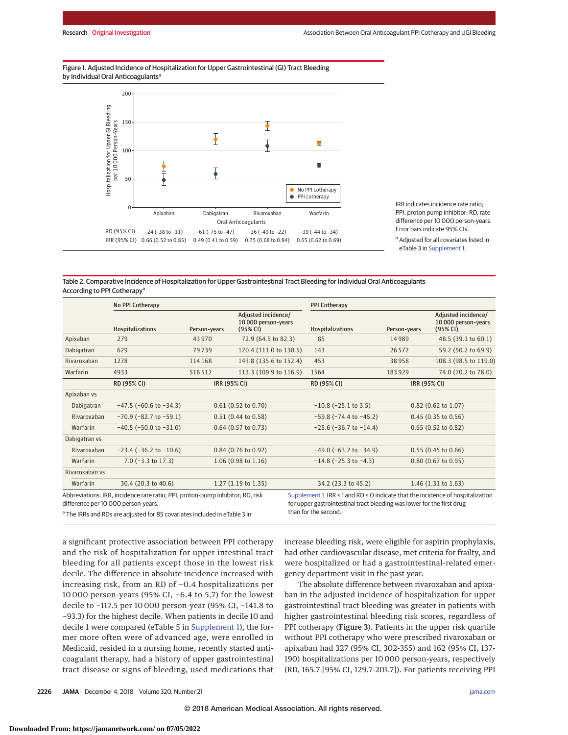Figure 1. Adjusted Incidence of Hospitalization for Upper Gastrointestinal (GI) Tract Bleeding by Individual Oral Anticoagulants<sup>a</sup>



IRR indicates incidence rate ratio; PPI, proton pump inhibitor; RD, rate difference per 10 000 person-years. Error bars indicate 95% CIs.

<sup>a</sup> Adjusted for all covariates listed in eTable 3 in [Supplement 1.](https://jama.jamanetwork.com/article.aspx?doi=10.1001/jama.2018.17242&utm_campaign=articlePDF%26utm_medium=articlePDFlink%26utm_source=articlePDF%26utm_content=jama.2018.17242)

Table 2. Comparative Incidence of Hospitalization for Upper Gastrointestinal Tract Bleeding for Individual Oral Anticoagulants According to PPI Cotherapy<sup>a</sup>

|                                                                                                                                                                                                               | No PPI Cotherapy               |              |                                                        |                                                                                                                                                                                   | <b>PPI Cotherapy</b>           |              |                                                        |  |  |
|---------------------------------------------------------------------------------------------------------------------------------------------------------------------------------------------------------------|--------------------------------|--------------|--------------------------------------------------------|-----------------------------------------------------------------------------------------------------------------------------------------------------------------------------------|--------------------------------|--------------|--------------------------------------------------------|--|--|
|                                                                                                                                                                                                               | <b>Hospitalizations</b>        | Person-vears | Adjusted incidence/<br>10 000 person-years<br>(95% CI) |                                                                                                                                                                                   | <b>Hospitalizations</b>        | Person-vears | Adjusted incidence/<br>10 000 person-years<br>(95% CI) |  |  |
| Apixaban                                                                                                                                                                                                      | 279                            | 43970        | 72.9 (64.5 to 82.3)                                    |                                                                                                                                                                                   | 85                             | 14989        | 48.5 (39.1 to 60.1)                                    |  |  |
| Dabigatran                                                                                                                                                                                                    | 629                            | 79739        | 120.4 (111.0 to 130.5)                                 |                                                                                                                                                                                   | 143                            | 26572        | 59.2 (50.2 to 69.9)                                    |  |  |
| Rivaroxaban                                                                                                                                                                                                   | 1278                           | 114 168      | 143.8 (135.6 to 152.4)                                 |                                                                                                                                                                                   | 453                            | 38958        | 108.3 (98.5 to 119.0)                                  |  |  |
| Warfarin                                                                                                                                                                                                      | 4933                           | 516512       | 113.3 (109.9 to 116.9)                                 |                                                                                                                                                                                   | 1564                           | 183929       | 74.0 (70.2 to 78.0)                                    |  |  |
|                                                                                                                                                                                                               | RD (95% CI)                    | IRR (95% CI) |                                                        |                                                                                                                                                                                   | RD (95% CI)                    | IRR (95% CI) |                                                        |  |  |
| Apixaban vs                                                                                                                                                                                                   |                                |              |                                                        |                                                                                                                                                                                   |                                |              |                                                        |  |  |
| Dabigatran                                                                                                                                                                                                    | $-47.5$ (-60.6 to $-34.3$ )    |              | $0.61$ (0.52 to 0.70)                                  |                                                                                                                                                                                   | $-10.8$ ( $-25.1$ to 3.5)      |              | $0.82$ (0.62 to 1.07)                                  |  |  |
| Rivaroxaban                                                                                                                                                                                                   | $-70.9$ (-82.7 to $-59.1$ )    |              | $0.51$ (0.44 to 0.58)                                  |                                                                                                                                                                                   | $-59.8$ ( $-74.4$ to $-45.2$ ) |              | $0.45$ (0.35 to 0.56)                                  |  |  |
| Warfarin                                                                                                                                                                                                      | $-40.5$ ( $-50.0$ to $-31.0$ ) |              | $0.64$ (0.57 to 0.73)                                  |                                                                                                                                                                                   | $-25.6$ ( $-36.7$ to $-14.4$ ) |              | $0.65$ (0.52 to 0.82)                                  |  |  |
| Dabigatran ys                                                                                                                                                                                                 |                                |              |                                                        |                                                                                                                                                                                   |                                |              |                                                        |  |  |
| Rivaroxaban                                                                                                                                                                                                   | $-23.4$ ( $-36.2$ to $-10.6$ ) |              | $0.84$ (0.76 to 0.92)                                  |                                                                                                                                                                                   | $-49.0$ ( $-63.2$ to $-34.9$ ) |              | $0.55(0.45 \text{ to } 0.66)$                          |  |  |
| Warfarin                                                                                                                                                                                                      | $7.0$ (-3.3 to 17.3)           |              | $1.06$ (0.98 to 1.16)                                  |                                                                                                                                                                                   | $-14.8$ ( $-25.3$ to $-4.3$ )  |              | $0.80$ (0.67 to 0.95)                                  |  |  |
| Rivaroxaban vs                                                                                                                                                                                                |                                |              |                                                        |                                                                                                                                                                                   |                                |              |                                                        |  |  |
| Warfarin                                                                                                                                                                                                      | 30.4 (20.3 to 40.6)            |              | $1.27(1.19 \text{ to } 1.35)$                          |                                                                                                                                                                                   | 34.2 (23.3 to 45.2)            |              | 1.46 $(1.31 \text{ to } 1.63)$                         |  |  |
| Abbreviations: IRR, incidence rate ratio; PPI, proton-pump inhibitor; RD, risk<br>difference per 10 000 person-years.<br><sup>a</sup> The IRRs and RDs are adjusted for 85 covariates included in eTable 3 in |                                |              |                                                        | Supplement 1. IRR < 1 and RD < 0 indicate that the incidence of hospitalization<br>for upper gastrointestinal tract bleeding was lower for the first drug<br>than for the second. |                                |              |                                                        |  |  |

a significant protective association between PPI cotherapy and the risk of hospitalization for upper intestinal tract bleeding for all patients except those in the lowest risk decile. The difference in absolute incidence increased with increasing risk, from an RD of −0.4 hospitalizations per 10 000 person-years (95% CI, −6.4 to 5.7) for the lowest decile to −117.5 per 10 000 person-year (95% CI, −141.8 to −93.3) for the highest decile. When patients in decile 10 and decile 1 were compared (eTable 5 in [Supplement 1\)](https://jama.jamanetwork.com/article.aspx?doi=10.1001/jama.2018.17242&utm_campaign=articlePDF%26utm_medium=articlePDFlink%26utm_source=articlePDF%26utm_content=jama.2018.17242), the former more often were of advanced age, were enrolled in Medicaid, resided in a nursing home, recently started anticoagulant therapy, had a history of upper gastrointestinal tract disease or signs of bleeding, used medications that increase bleeding risk, were eligible for aspirin prophylaxis, had other cardiovascular disease, met criteria for frailty, and were hospitalized or had a gastrointestinal-related emergency department visit in the past year.

The absolute difference between rivaroxaban and apixaban in the adjusted incidence of hospitalization for upper gastrointestinal tract bleeding was greater in patients with higher gastrointestinal bleeding risk scores, regardless of PPI cotherapy (Figure 3). Patients in the upper risk quartile without PPI cotherapy who were prescribed rivaroxaban or apixaban had 327 (95% CI, 302-355) and 162 (95% CI, 137- 190) hospitalizations per 10 000 person-years, respectively (RD, 165.7 [95% CI, 129.7-201.7]). For patients receiving PPI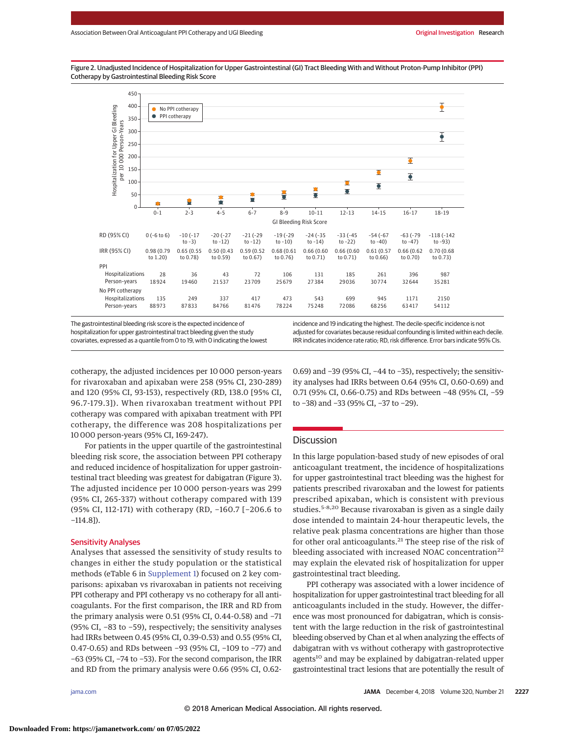Figure 2. Unadjusted Incidence of Hospitalization for Upper Gastrointestinal (GI) Tract Bleeding With and Without Proton-Pump Inhibitor (PPI) Cotherapy by Gastrointestinal Bleeding Risk Score



The gastrointestinal bleeding risk score is the expected incidence of hospitalization for upper gastrointestinal tract bleeding given the study covariates, expressed as a quantile from 0 to 19, with 0 indicating the lowest incidence and 19 indicating the highest. The decile-specific incidence is not adjusted for covariates because residual confounding is limited within each decile. IRR indicates incidence rate ratio; RD, risk difference. Error bars indicate 95% CIs.

cotherapy, the adjusted incidences per 10 000 person-years for rivaroxaban and apixaban were 258 (95% CI, 230-289) and 120 (95% CI, 93-153), respectively (RD, 138.0 [95% CI, 96.7-179.3]). When rivaroxaban treatment without PPI cotherapy was compared with apixaban treatment with PPI cotherapy, the difference was 208 hospitalizations per 10 000 person-years (95% CI, 169-247).

For patients in the upper quartile of the gastrointestinal bleeding risk score, the association between PPI cotherapy and reduced incidence of hospitalization for upper gastrointestinal tract bleeding was greatest for dabigatran (Figure 3). The adjusted incidence per 10 000 person-years was 299 (95% CI, 265-337) without cotherapy compared with 139 (95% CI, 112-171) with cotherapy (RD, −160.7 [−206.6 to −114.8]).

## Sensitivity Analyses

Analyses that assessed the sensitivity of study results to changes in either the study population or the statistical methods (eTable 6 in [Supplement 1\)](https://jama.jamanetwork.com/article.aspx?doi=10.1001/jama.2018.17242&utm_campaign=articlePDF%26utm_medium=articlePDFlink%26utm_source=articlePDF%26utm_content=jama.2018.17242) focused on 2 key comparisons: apixaban vs rivaroxaban in patients not receiving PPI cotherapy and PPI cotherapy vs no cotherapy for all anticoagulants. For the first comparison, the IRR and RD from the primary analysis were 0.51 (95% CI, 0.44-0.58) and −71 (95% CI, −83 to −59), respectively; the sensitivity analyses had IRRs between 0.45 (95% CI, 0.39-0.53) and 0.55 (95% CI, 0.47-0.65) and RDs between −93 (95% CI, −109 to −77) and −63 (95% CI, −74 to −53). For the second comparison, the IRR and RD from the primary analysis were 0.66 (95% CI, 0.620.69) and −39 (95% CI, −44 to −35), respectively; the sensitivity analyses had IRRs between 0.64 (95% CI, 0.60-0.69) and 0.71 (95% CI, 0.66-0.75) and RDs between −48 (95% CI, −59 to −38) and −33 (95% CI, −37 to −29).

## **Discussion**

In this large population-based study of new episodes of oral anticoagulant treatment, the incidence of hospitalizations for upper gastrointestinal tract bleeding was the highest for patients prescribed rivaroxaban and the lowest for patients prescribed apixaban, which is consistent with previous studies.<sup>5-8,20</sup> Because rivaroxaban is given as a single daily dose intended to maintain 24-hour therapeutic levels, the relative peak plasma concentrations are higher than those for other oral anticoagulants. $^{21}$  The steep rise of the risk of bleeding associated with increased NOAC concentration<sup>22</sup> may explain the elevated risk of hospitalization for upper gastrointestinal tract bleeding.

PPI cotherapy was associated with a lower incidence of hospitalization for upper gastrointestinal tract bleeding for all anticoagulants included in the study. However, the difference was most pronounced for dabigatran, which is consistent with the large reduction in the risk of gastrointestinal bleeding observed by Chan et al when analyzing the effects of dabigatran with vs without cotherapy with gastroprotective agents<sup>10</sup> and may be explained by dabigatran-related upper gastrointestinal tract lesions that are potentially the result of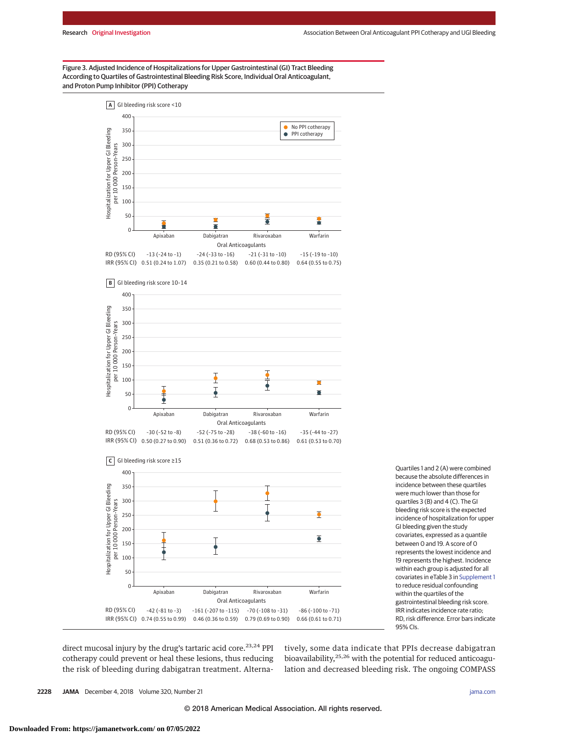Figure 3. Adjusted Incidence of Hospitalizations for Upper Gastrointestinal (GI) Tract Bleeding According to Quartiles of Gastrointestinal Bleeding Risk Score, Individual Oral Anticoagulant, and Proton Pump Inhibitor (PPI) Cotherapy



Quartiles 1 and 2 (A) were combined because the absolute differences in incidence between these quartiles were much lower than those for quartiles 3 (B) and 4 (C). The GI bleeding risk score is the expected incidence of hospitalization for upper GI bleeding given the study covariates, expressed as a quantile between 0 and 19. A score of 0 represents the lowest incidence and 19 represents the highest. Incidence within each group is adjusted for all covariates in eTable 3 in [Supplement 1](https://jama.jamanetwork.com/article.aspx?doi=10.1001/jama.2018.17242&utm_campaign=articlePDF%26utm_medium=articlePDFlink%26utm_source=articlePDF%26utm_content=jama.2018.17242) to reduce residual confounding within the quartiles of the gastrointestinal bleeding risk score. IRR indicates incidence rate ratio; RD, risk difference. Error bars indicate 95% CIs.

direct mucosal injury by the drug's tartaric acid core.<sup>23,24</sup> PPI cotherapy could prevent or heal these lesions, thus reducing the risk of bleeding during dabigatran treatment. Alternatively, some data indicate that PPIs decrease dabigatran bioavailability,<sup>25,26</sup> with the potential for reduced anticoagulation and decreased bleeding risk. The ongoing COMPASS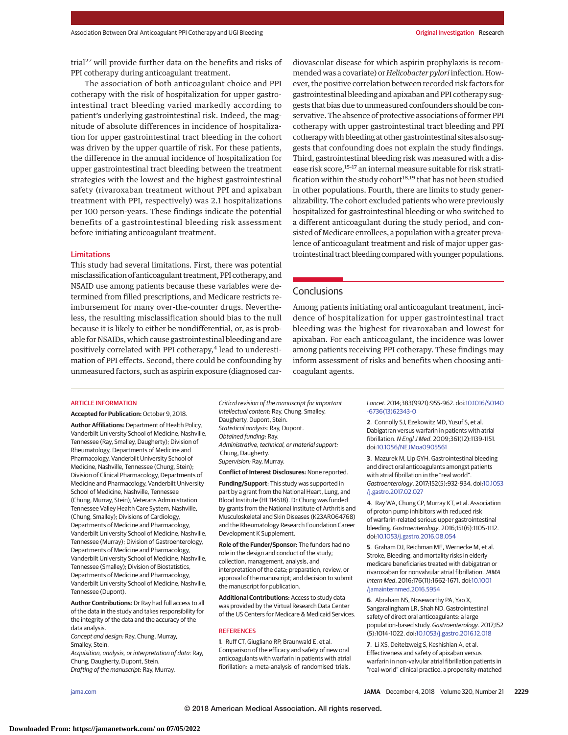trial<sup>27</sup> will provide further data on the benefits and risks of PPI cotherapy during anticoagulant treatment.

The association of both anticoagulant choice and PPI cotherapy with the risk of hospitalization for upper gastrointestinal tract bleeding varied markedly according to patient's underlying gastrointestinal risk. Indeed, the magnitude of absolute differences in incidence of hospitalization for upper gastrointestinal tract bleeding in the cohort was driven by the upper quartile of risk. For these patients, the difference in the annual incidence of hospitalization for upper gastrointestinal tract bleeding between the treatment strategies with the lowest and the highest gastrointestinal safety (rivaroxaban treatment without PPI and apixaban treatment with PPI, respectively) was 2.1 hospitalizations per 100 person-years. These findings indicate the potential benefits of a gastrointestinal bleeding risk assessment before initiating anticoagulant treatment.

## Limitations

This study had several limitations. First, there was potential misclassification of anticoagulant treatment, PPI cotherapy, and NSAID use among patients because these variables were determined from filled prescriptions, and Medicare restricts reimbursement for many over-the-counter drugs. Nevertheless, the resulting misclassification should bias to the null because it is likely to either be nondifferential, or, as is probable for NSAIDs, which cause gastrointestinal bleeding and are positively correlated with PPI cotherapy, $4$  lead to underestimation of PPI effects. Second, there could be confounding by unmeasured factors, such as aspirin exposure (diagnosed cardiovascular disease for which aspirin prophylaxis is recommended was a covariate) or *Helicobacter pylori* infection. However, the positive correlation between recorded risk factors for gastrointestinal bleeding and apixaban and PPI cotherapy suggests that bias due to unmeasured confounders should be conservative. The absence of protective associations of former PPI cotherapy with upper gastrointestinal tract bleeding and PPI cotherapy with bleeding at other gastrointestinal sites also suggests that confounding does not explain the study findings. Third, gastrointestinal bleeding risk was measured with a disease risk score,<sup>15-17</sup> an internal measure suitable for risk stratification within the study cohort $18,19$  that has not been studied in other populations. Fourth, there are limits to study generalizability. The cohort excluded patients who were previously hospitalized for gastrointestinal bleeding or who switched to a different anticoagulant during the study period, and consisted of Medicare enrollees, a population with a greater prevalence of anticoagulant treatment and risk of major upper gastrointestinal tract bleeding comparedwith younger populations.

## **Conclusions**

Among patients initiating oral anticoagulant treatment, incidence of hospitalization for upper gastrointestinal tract bleeding was the highest for rivaroxaban and lowest for apixaban. For each anticoagulant, the incidence was lower among patients receiving PPI cotherapy. These findings may inform assessment of risks and benefits when choosing anticoagulant agents.

## **ARTICLE INFORMATION**

**Accepted for Publication:** October 9, 2018.

**Author Affiliations:** Department of Health Policy, Vanderbilt University School of Medicine, Nashville, Tennessee (Ray, Smalley, Daugherty); Division of Rheumatology, Departments of Medicine and Pharmacology, Vanderbilt University School of Medicine, Nashville, Tennessee (Chung, Stein); Division of Clinical Pharmacology, Departments of Medicine and Pharmacology, Vanderbilt University School of Medicine, Nashville, Tennessee (Chung, Murray, Stein); Veterans Administration Tennessee Valley Health Care System, Nashville, (Chung, Smalley); Divisions of Cardiology, Departments of Medicine and Pharmacology, Vanderbilt University School of Medicine, Nashville, Tennessee (Murray); Division of Gastroenterology, Departments of Medicine and Pharmacology, Vanderbilt University School of Medicine, Nashville, Tennessee (Smalley); Division of Biostatistics, Departments of Medicine and Pharmacology, Vanderbilt University School of Medicine, Nashville, Tennessee (Dupont).

**Author Contributions:** Dr Ray had full access to all of the data in the study and takes responsibility for the integrity of the data and the accuracy of the data analysis.

Concept and design: Ray, Chung, Murray, Smalley, Stein.

Acquisition, analysis, or interpretation of data: Ray, Chung, Daugherty, Dupont, Stein. Drafting of the manuscript: Ray, Murray.

Critical revision of the manuscript for important intellectual content: Ray, Chung, Smalley, Daugherty, Dupont, Stein. Statistical analysis: Ray, Dupont. Obtained funding: Ray. Administrative, technical, or material support: Chung, Daugherty. Supervision: Ray, Murray.

**Conflict of Interest Disclosures:** None reported.

**Funding/Support**: This study was supported in part by a grant from the National Heart, Lung, and Blood Institute (HL114518). Dr Chung was funded by grants from the National Institute of Arthritis and Musculoskeletal and Skin Diseases (K23AR064768) and the Rheumatology Research Foundation Career Development K Supplement.

**Role of the Funder/Sponsor:** The funders had no role in the design and conduct of the study; collection, management, analysis, and interpretation of the data; preparation, review, or approval of the manuscript; and decision to submit the manuscript for publication.

**Additional Contributions:** Access to study data was provided by the Virtual Research Data Center of the US Centers for Medicare & Medicaid Services.

## **REFERENCES**

**1**. Ruff CT, Giugliano RP, Braunwald E, et al. Comparison of the efficacy and safety of new oral anticoagulants with warfarin in patients with atrial fibrillation: a meta-analysis of randomised trials.

## Lancet. 2014;383(9921):955-962. doi[:10.1016/S0140](https://dx.doi.org/10.1016/S0140-6736(13)62343-0) [-6736\(13\)62343-0](https://dx.doi.org/10.1016/S0140-6736(13)62343-0)

**2**. Connolly SJ, Ezekowitz MD, Yusuf S, et al. Dabigatran versus warfarin in patients with atrial fibrillation. N Engl J Med. 2009;361(12):1139-1151. doi[:10.1056/NEJMoa0905561](https://dx.doi.org/10.1056/NEJMoa0905561)

**3**. Mazurek M, Lip GYH. Gastrointestinal bleeding and direct oral anticoagulants amongst patients with atrial fibrillation in the "real world". Gastroenterology. 2017;152(5):932-934. doi[:10.1053](https://dx.doi.org/10.1053/j.gastro.2017.02.027) [/j.gastro.2017.02.027](https://dx.doi.org/10.1053/j.gastro.2017.02.027)

**4**. Ray WA, Chung CP, Murray KT, et al. Association of proton pump inhibitors with reduced risk of warfarin-related serious upper gastrointestinal bleeding. Gastroenterology. 2016;151(6):1105-1112. doi[:10.1053/j.gastro.2016.08.054](https://dx.doi.org/10.1053/j.gastro.2016.08.054)

**5**. Graham DJ, Reichman ME, Wernecke M, et al. Stroke, Bleeding, and mortality risks in elderly medicare beneficiaries treated with dabigatran or rivaroxaban for nonvalvular atrial fibrillation. JAMA Intern Med. 2016;176(11):1662-1671. doi[:10.1001](https://jama.jamanetwork.com/article.aspx?doi=10.1001/jamainternmed.2016.5954&utm_campaign=articlePDF%26utm_medium=articlePDFlink%26utm_source=articlePDF%26utm_content=jama.2018.17242) [/jamainternmed.2016.5954](https://jama.jamanetwork.com/article.aspx?doi=10.1001/jamainternmed.2016.5954&utm_campaign=articlePDF%26utm_medium=articlePDFlink%26utm_source=articlePDF%26utm_content=jama.2018.17242)

**6**. Abraham NS, Noseworthy PA, Yao X, Sangaralingham LR, Shah ND. Gastrointestinal safety of direct oral anticoagulants: a large population-based study. Gastroenterology. 2017;152 (5):1014-1022. doi[:10.1053/j.gastro.2016.12.018](https://dx.doi.org/10.1053/j.gastro.2016.12.018)

**7**. Li XS, Deitelzweig S, Keshishian A, et al. Effectiveness and safety of apixaban versus warfarin in non-valvular atrial fibrillation patients in "real-world" clinical practice. a propensity-matched